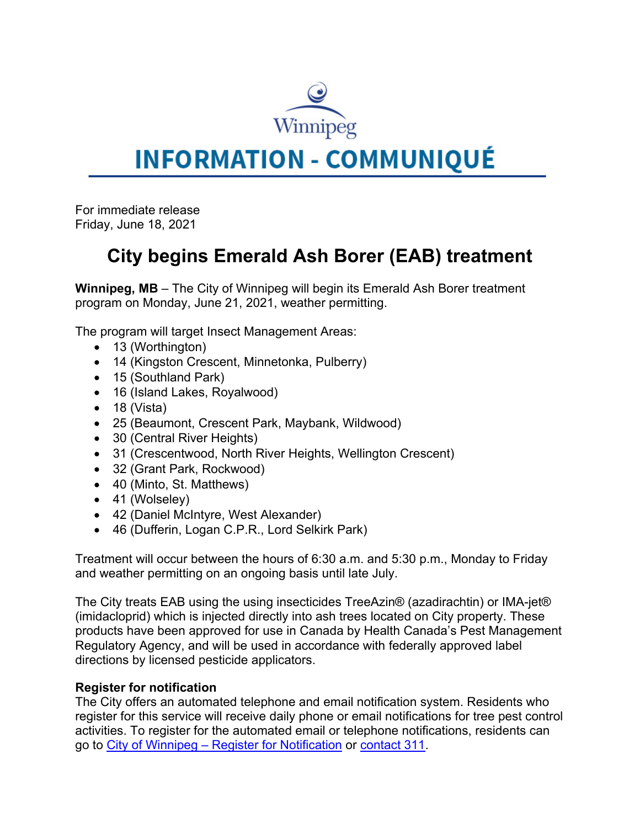

## **INFORMATION - COMMUNIQUÉ**

For immediate release Friday, June 18, 2021

## **City begins Emerald Ash Borer (EAB) treatment**

**Winnipeg, MB** – The City of Winnipeg will begin its Emerald Ash Borer treatment program on Monday, June 21, 2021, weather permitting.

The program will target Insect Management Areas:

- 13 (Worthington)
- 14 (Kingston Crescent, Minnetonka, Pulberry)
- 15 (Southland Park)
- 16 (Island Lakes, Royalwood)
- $\bullet$  18 (Vista)
- 25 (Beaumont, Crescent Park, Maybank, Wildwood)
- 30 (Central River Heights)
- 31 (Crescentwood, North River Heights, Wellington Crescent)
- 32 (Grant Park, Rockwood)
- 40 (Minto, St. Matthews)
- 41 (Wolseley)
- 42 (Daniel McIntyre, West Alexander)
- 46 (Dufferin, Logan C.P.R., Lord Selkirk Park)

Treatment will occur between the hours of 6:30 a.m. and 5:30 p.m., Monday to Friday and weather permitting on an ongoing basis until late July.

The City treats EAB using the using insecticides TreeAzin® (azadirachtin) or IMA-jet® (imidacloprid) which is injected directly into ash trees located on City property. These products have been approved for use in Canada by Health Canada's Pest Management Regulatory Agency, and will be used in accordance with federally approved label directions by licensed pesticide applicators.

## **Register for notification**

The City offers an automated telephone and email notification system. Residents who register for this service will receive daily phone or email notifications for tree pest control activities. To register for the automated email or telephone notifications, residents can go to City of Winnipeg – Register for Notification or contact 311.